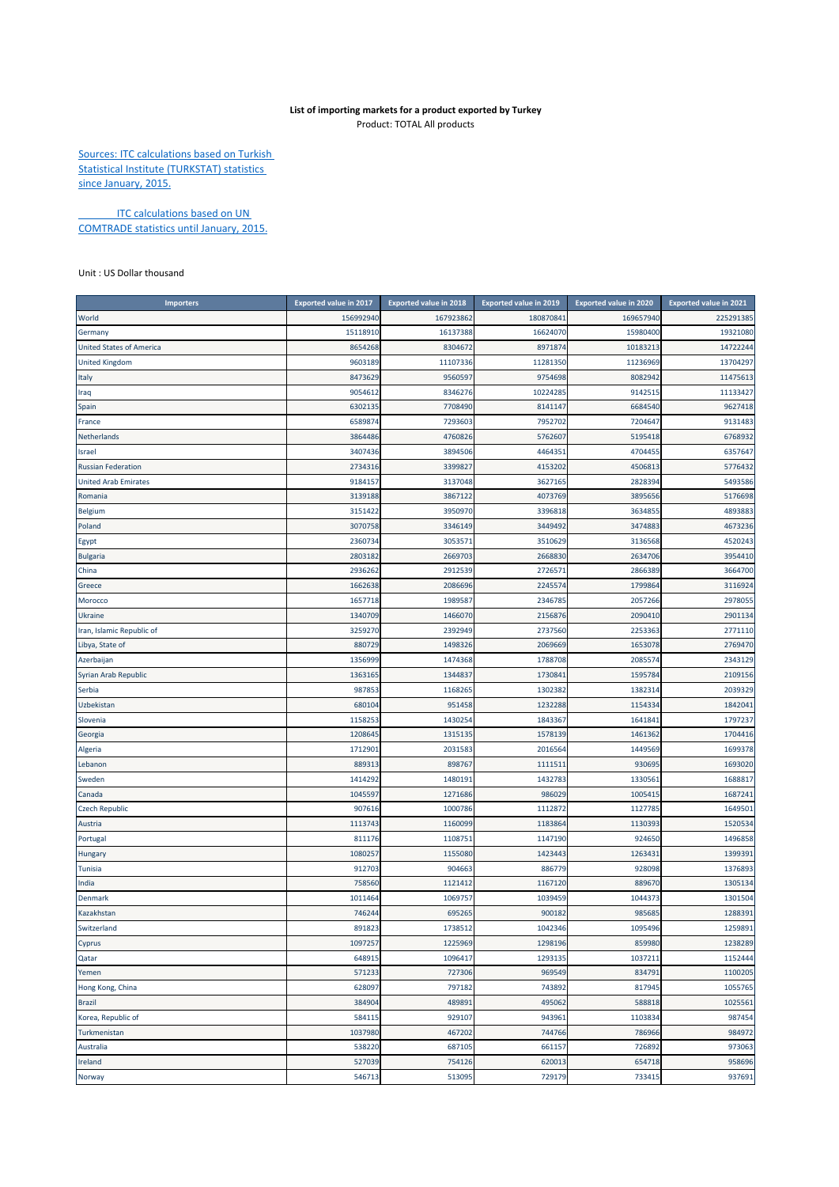## **List of importing markets for a product exported by Turkey** Product: TOTAL All products

Sources: ITC calculations based on Turkish Statistical Institute (TURKSTAT) statistics since January, 2015.

**ITC calculations based on UN** COMTRADE statistics until January, 2015.

Unit : US Dollar thousand

| <b>Importers</b>                | Exported value in 2017 | <b>Exported value in 2018</b> | <b>Exported value in 2019</b> | <b>Exported value in 2020</b> | <b>Exported value in 2021</b> |
|---------------------------------|------------------------|-------------------------------|-------------------------------|-------------------------------|-------------------------------|
| World                           | 156992940              | 167923862                     | 180870841                     | 169657940                     | 225291385                     |
| Germany                         | 15118910               | 16137388                      | 16624070                      | 15980400                      | 19321080                      |
| <b>United States of America</b> | 8654268                | 8304672                       | 8971874                       | 10183213                      | 14722244                      |
| <b>United Kingdom</b>           | 9603189                | 11107336                      | 11281350                      | 11236969                      | 13704297                      |
| Italy                           | 8473629                | 9560597                       | 9754698                       | 8082942                       | 11475613                      |
| Iraq                            | 9054612                | 8346276                       | 10224285                      | 914251                        | 11133427                      |
| Spain                           | 6302135                | 7708490                       | 8141147                       | 6684540                       | 9627418                       |
| France                          | 6589874                | 7293603                       | 7952702                       | 7204647                       | 9131483                       |
| Netherlands                     | 3864486                | 4760826                       | 5762607                       | 5195418                       | 6768932                       |
| Israel                          | 3407436                | 3894506                       | 4464351                       | 470445                        | 6357647                       |
| <b>Russian Federation</b>       | 2734316                | 3399827                       | 4153202                       | 4506813                       | 5776432                       |
| <b>United Arab Emirates</b>     | 9184157                | 3137048                       | 3627165                       | 2828394                       | 5493586                       |
| Romania                         | 3139188                | 3867122                       | 4073769                       | 3895656                       | 5176698                       |
| Belgium                         | 3151422                | 3950970                       | 3396818                       | 363485                        | 4893883                       |
| Poland                          | 3070758                | 3346149                       | 3449492                       | 3474883                       | 4673236                       |
| Egypt                           | 2360734                | 3053571                       | 3510629                       | 3136568                       | 4520243                       |
| <b>Bulgaria</b>                 | 2803182                | 2669703                       | 2668830                       | 2634706                       | 3954410                       |
| China                           | 2936262                | 2912539                       | 2726571                       | 2866389                       | 3664700                       |
| Greece                          | 1662638                | 2086696                       | 2245574                       | 1799864                       | 3116924                       |
| Morocco                         | 1657718                | 1989587                       | 2346785                       | 2057266                       | 2978055                       |
| Ukraine                         | 1340709                | 1466070                       | 2156876                       | 2090410                       | 2901134                       |
| Iran, Islamic Republic of       | 3259270                | 2392949                       | 2737560                       | 2253363                       | 2771110                       |
| Libya, State of                 | 880729                 | 1498326                       | 2069669                       | 1653078                       | 2769470                       |
| Azerbaijan                      | 1356999                | 1474368                       | 1788708                       | 2085574                       | 2343129                       |
| Syrian Arab Republic            | 1363165                | 1344837                       | 1730841                       | 1595784                       | 2109156                       |
| Serbia                          | 987853                 | 1168265                       | 1302382                       | 1382314                       | 2039329                       |
| Uzbekistan                      | 680104                 | 951458                        | 1232288                       | 115433                        | 1842041                       |
| Slovenia                        | 1158253                | 1430254                       | 1843367                       | 164184                        | 1797237                       |
| Georgia                         | 1208645                | 1315135                       | 1578139                       | 1461362                       | 1704416                       |
| Algeria                         | 171290                 | 203158                        | 2016564                       | 1449569                       | 1699378                       |
| Lebanon                         | 889313                 | 898767                        | 1111511                       | 930695                        | 1693020                       |
| Sweden                          | 1414292                | 1480191                       | 1432783                       | 133056:                       | 1688817                       |
| Canada                          | 1045597                | 1271686                       | 986029                        | 100541                        | 1687241                       |
| <b>Czech Republic</b>           | 907616                 | 1000786                       | 1112872                       | 112778                        | 1649501                       |
| Austria                         | 1113743                | 1160099                       | 1183864                       | 1130393                       | 1520534                       |
| Portugal                        | 811176                 | 1108751                       | 1147190                       | 924650                        | 1496858                       |
| Hungary                         | 1080257                | 1155080                       | 1423443                       | 126343:                       | 1399391                       |
| Tunisia                         | 912703                 | 904663                        | 886779                        | 928098                        | 1376893                       |
| India                           | 758560                 | 1121412                       | 1167120                       | 889670                        | 1305134                       |
| <b>Denmark</b>                  | 1011464                | 1069757                       | 1039459                       | 1044373                       | 1301504                       |
| Kazakhstan                      | 746244                 | 695265                        | 900182                        | 985685                        | 1288391                       |
| Switzerland                     | 891823                 | 1/38512                       | 1042346                       | 1095496                       | 1259891                       |
| Cyprus                          | 1097257                | 1225969                       | 1298196                       | 859980                        | 1238289                       |
| Qatar                           | 648915                 | 1096417                       | 1293135                       | 1037211                       | 1152444                       |
| Yemen                           | 571233                 | 727306                        | 969549                        | 834791                        | 1100205                       |
| Hong Kong, China                | 628097                 | 797182                        | 743892                        | 817945                        | 1055765                       |
| <b>Brazil</b>                   | 384904                 | 489891                        | 495062                        | 588818                        | 1025561                       |
| Korea, Republic of              | 584115                 | 929107                        | 943961                        | 1103834                       | 987454                        |
| Turkmenistan                    | 1037980                | 467202                        | 744766                        | 786966                        | 984972                        |
| Australia                       | 538220                 | 687105                        | 661157                        | 726892                        | 973063                        |
| Ireland                         | 527039                 | 754126                        | 620013                        | 654718                        | 958696                        |
| Norway                          | 546713                 | 513095                        | 729179                        | 733415                        | 937691                        |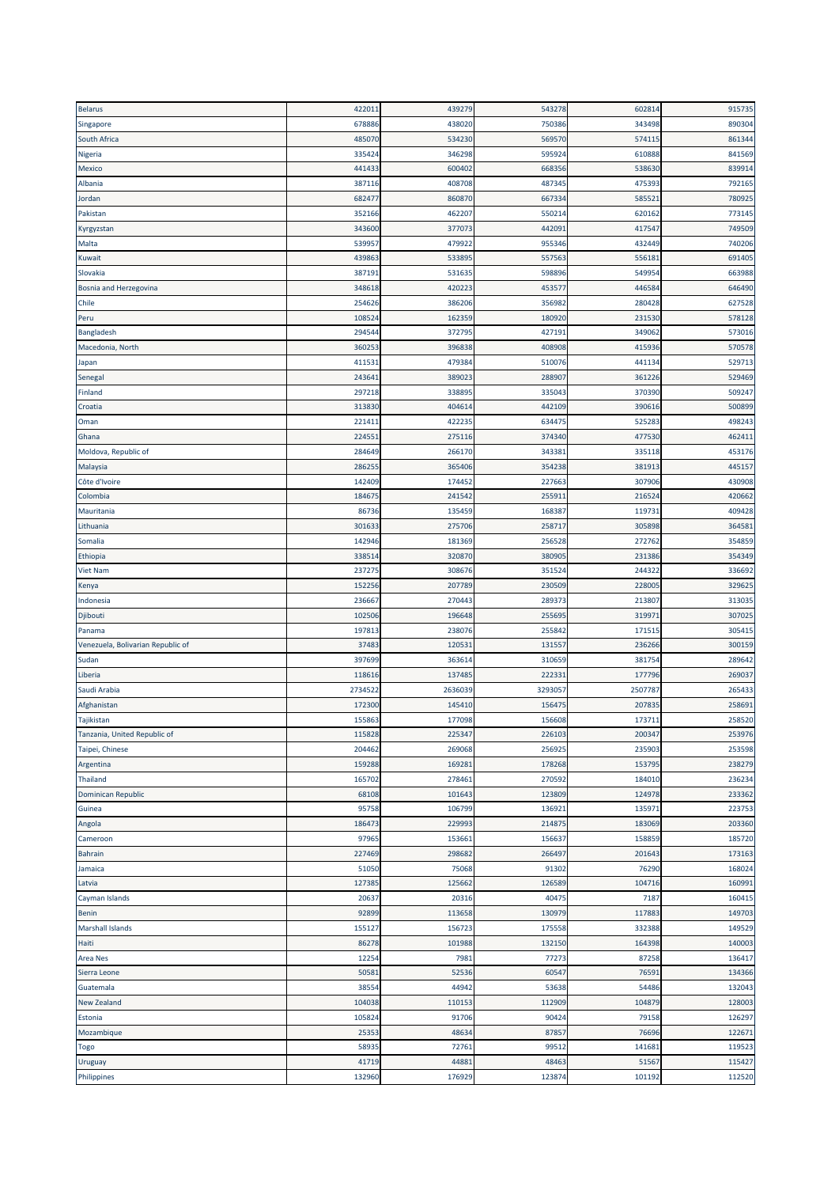| <b>Belarus</b>                    | 422011 | 439279  | 543278  | 602814 | 915735 |
|-----------------------------------|--------|---------|---------|--------|--------|
| Singapore                         | 678886 | 438020  | 750386  | 343498 | 890304 |
| South Africa                      | 485070 | 534230  | 569570  | 57411  | 861344 |
| Nigeria                           | 335424 | 346298  | 595924  | 610888 | 841569 |
| Mexico                            | 441433 | 600402  | 668356  | 538630 | 839914 |
| Albania                           | 38711  | 408708  | 487345  | 475393 | 792165 |
| Jordan                            | 682477 | 860870  | 667334  | 58552  | 780925 |
|                                   | 352166 | 462207  |         | 620162 | 773145 |
| Pakistan                          |        |         | 550214  |        |        |
| Kyrgyzstan                        | 343600 | 377073  | 442091  | 417547 | 749509 |
| Malta                             | 53995  | 479922  | 955346  | 432449 | 740206 |
| Kuwait                            | 439863 | 53389   | 557563  | 55618  | 691405 |
| Slovakia                          | 38719  | 531635  | 598896  | 549954 | 663988 |
| Bosnia and Herzegovina            | 348618 | 420223  | 453577  | 446584 | 646490 |
| Chile                             | 254626 | 386206  | 356982  | 280428 | 627528 |
| Peru                              | 10852  | 162359  | 180920  | 231530 | 578128 |
| Bangladesh                        | 29454  | 37279   | 427191  | 34906  | 573016 |
| Macedonia, North                  | 360253 | 396838  | 408908  | 415936 | 570578 |
| Japan                             | 41153  | 47938   | 510076  | 44113  | 529713 |
| Senegal                           | 24364  | 38902   | 288907  | 36122  | 529469 |
| Finland                           | 297218 | 33889   | 335043  | 370390 | 509247 |
| Croatia                           | 313830 | 404614  | 442109  | 390616 | 500899 |
| Oman                              | 22141  | 422235  | 634475  | 525283 | 498243 |
| Ghana                             | 22455  | 275116  | 374340  | 477530 | 462411 |
| Moldova, Republic of              | 284649 | 266170  | 343381  | 335118 | 453176 |
| Malaysia                          | 28625  | 365406  | 354238  | 381913 | 445157 |
| Côte d'Ivoire                     |        |         |         |        |        |
|                                   | 142409 | 174452  | 227663  | 307906 | 430908 |
| Colombia                          | 18467  | 241542  | 255911  | 21652  | 420662 |
| Mauritania                        | 86736  | 135459  | 168387  | 11973  | 409428 |
| Lithuania                         | 30163  | 275706  | 258717  | 305898 | 364581 |
| Somalia                           | 142946 | 181369  | 256528  | 272762 | 354859 |
| Ethiopia                          | 33851  | 320870  | 380905  | 231386 | 354349 |
| <b>Viet Nam</b>                   | 23727  | 308676  | 351524  | 244322 | 336692 |
| Kenya                             | 15225  | 207789  | 230509  | 22800  | 329625 |
| Indonesia                         | 236667 | 270443  | 289373  | 213807 | 313035 |
| Djibouti                          | 102506 | 196648  | 255695  | 31997  | 307025 |
| Panama                            | 19781  | 238076  | 255842  | 17151  | 305415 |
| Venezuela, Bolivarian Republic of | 37483  | 120531  | 131557  | 236266 | 300159 |
| Sudan                             | 397699 | 363614  | 310659  | 381754 | 289642 |
| Liberia                           | 118616 | 137485  | 222331  | 177796 | 269037 |
| Saudi Arabia                      | 273452 | 2636039 | 3293057 | 250778 | 265433 |
| Afghanistan                       | 172300 | 145410  | 156475  | 20783  | 258691 |
| Tajikistan                        | 155863 | 177098  | 156608  | 173711 | 258520 |
| Tanzania, United Republic of      | 115828 | 225347  | 226103  | 200347 | 253976 |
| Taipei, Chinese                   | 204462 | 269068  | 256925  | 235903 | 253598 |
|                                   |        |         |         |        |        |
| Argentina                         | 159288 | 169281  | 178268  | 153795 | 238279 |
| Thailand                          | 165702 | 278461  | 270592  | 184010 | 236234 |
| Dominican Republic                | 68108  | 101643  | 123809  | 124978 | 233362 |
| Guinea                            | 95758  | 106799  | 136921  | 13597  | 223753 |
| Angola                            | 186473 | 229993  | 214875  | 183069 | 203360 |
| Cameroon                          | 97965  | 153661  | 156637  | 158859 | 185720 |
| <b>Bahrain</b>                    | 227469 | 298682  | 266497  | 201643 | 173163 |
| Jamaica                           | 51050  | 75068   | 91302   | 76290  | 168024 |
| Latvia                            | 127385 | 125662  | 126589  | 104716 | 160991 |
| Cayman Islands                    | 20637  | 20316   | 40475   | 7187   | 160415 |
| Benin                             | 92899  | 113658  | 130979  | 117883 | 149703 |
| Marshall Islands                  | 155127 | 156723  | 175558  | 332388 | 149529 |
| Haiti                             | 86278  | 101988  | 132150  | 164398 | 140003 |
| <b>Area Nes</b>                   | 12254  | 7981    | 77273   | 87258  | 136417 |
| Sierra Leone                      | 50581  | 52536   | 60547   | 7659   | 134366 |
| Guatemala                         | 38554  | 44942   | 53638   | 54486  | 132043 |
| <b>New Zealand</b>                | 104038 | 110153  | 112909  | 104879 | 128003 |
| Estonia                           | 105824 | 91706   | 90424   | 79158  | 126297 |
| Mozambique                        | 25353  | 48634   | 87857   | 76696  | 122671 |
| Togo                              | 58935  | 72761   | 99512   | 14168  | 119523 |
| Uruguay                           | 41719  | 44881   | 48463   | 51567  | 115427 |
|                                   | 132960 | 176929  | 123874  | 101192 | 112520 |
| Philippines                       |        |         |         |        |        |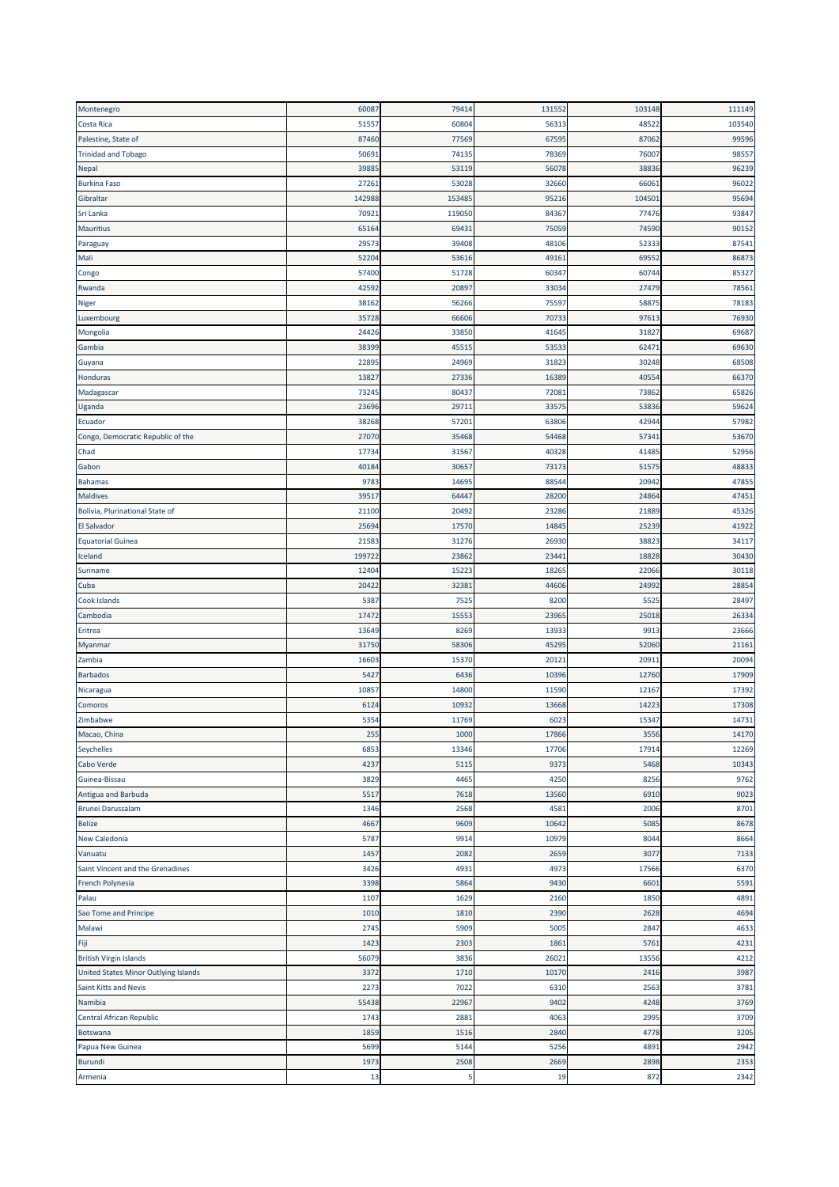| Montenegro                           | 60087  | 79414  | 131552 | 103148 | 111149 |
|--------------------------------------|--------|--------|--------|--------|--------|
| Costa Rica                           | 5155   | 60804  | 56313  | 48522  | 103540 |
| Palestine, State of                  | 87460  | 77569  | 67595  | 87062  | 99596  |
| <b>Trinidad and Tobago</b>           | 5069   | 74135  | 78369  | 76007  | 98557  |
| Nepal                                | 3988   | 53119  | 56078  | 38836  | 96239  |
| <b>Burkina Faso</b>                  | 2726   | 53028  | 32660  | 66061  | 96022  |
| Gibraltar                            | 142988 | 153485 | 95216  | 104501 | 95694  |
| Sri Lanka                            | 70921  | 119050 | 84367  | 77476  | 93847  |
| <b>Mauritius</b>                     | 6516   | 69431  | 75059  | 74590  | 90152  |
| Paraguay                             | 2957   | 39408  | 48106  | 52333  | 87541  |
| Mali                                 | 5220   | 53616  | 49161  | 69552  | 86873  |
| Congo                                | 57400  | 51728  | 60347  | 60744  | 85327  |
| Rwanda                               | 42592  | 20897  | 33034  | 27479  | 78561  |
| Niger                                | 3816   | 56266  | 75597  | 5887   | 78183  |
| Luxembourg                           | 35728  | 66606  | 70733  | 97613  | 76930  |
| Mongolia                             | 24426  | 33850  | 41645  | 31827  | 69687  |
| Gambia                               | 38399  | 45515  | 53533  | 62471  | 69630  |
|                                      | 2289   | 24969  | 31823  | 30248  | 68508  |
| Guyana<br>Honduras                   | 1382   | 27336  | 16389  | 40554  | 66370  |
|                                      | 7324   | 80437  | 72081  | 73862  | 65826  |
| Madagascar                           |        |        |        |        |        |
| Uganda                               | 23696  | 29711  | 33575  | 53836  | 59624  |
| Ecuador                              | 38268  | 57201  | 63806  | 42944  | 57982  |
| Congo, Democratic Republic of the    | 2707   | 35468  | 54468  | 5734   | 53670  |
| Chad                                 | 1773   | 31567  | 40328  | 4148   | 52956  |
| Gabon                                | 4018   | 30657  | 73173  | 51575  | 48833  |
| <b>Bahamas</b>                       | 978    | 14695  | 88544  | 20942  | 47855  |
| <b>Maldives</b>                      | 3951   | 64447  | 28200  | 24864  | 47451  |
| Bolivia, Plurinational State of      | 21100  | 20492  | 23286  | 21889  | 45326  |
| <b>El Salvador</b>                   | 2569   | 17570  | 14845  | 25239  | 41922  |
| <b>Equatorial Guinea</b>             | 2158   | 31276  | 26930  | 38823  | 34117  |
| Iceland                              | 199722 | 23862  | 23441  | 18828  | 30430  |
| Suriname                             | 12404  | 15223  | 18265  | 22066  | 30118  |
| Cuba                                 | 20422  | 32381  | 44606  | 24992  | 28854  |
| Cook Islands                         | 5387   | 7525   | 8200   | 5525   | 28497  |
| Cambodia                             | 1747   | 15553  | 23965  | 25018  | 26334  |
| Eritrea                              | 13649  | 8269   | 13933  | 991    | 23666  |
| Myanmar                              | 31750  | 58306  | 45295  | 52060  | 21161  |
| Zambia                               | 1660   | 15370  | 20121  | 20911  | 20094  |
| <b>Barbados</b>                      | 542    | 6436   | 10396  | 12760  | 17909  |
| Nicaragua                            | 10857  | 14800  | 11590  | 12167  | 17392  |
| Comoros                              | 6124   | 10932  | 13668  | 14223  | 17308  |
| Zimbabwe                             | 5354   | 11769  | 6023   | 15347  | 14731  |
| Macao, China                         | 255    | 1000   | 17866  | 3556   | 14170  |
| Seychelles                           | 6853   | 13346  | 17706  | 17914  | 12269  |
| Cabo Verde                           | 4237   | 5115   | 9373   | 5468   | 10343  |
| Guinea-Bissau                        | 3829   | 4465   | 4250   | 8256   | 9762   |
| Antigua and Barbuda                  | 5517   | 7618   | 13560  | 6910   | 9023   |
| <b>Brunei Darussalam</b>             | 1346   | 2568   | 4581   | 2006   | 8701   |
| <b>Belize</b>                        | 4667   | 9609   | 10642  | 5085   | 8678   |
| New Caledonia                        | 5787   | 9914   | 10979  | 8044   | 8664   |
| Vanuatu                              | 1457   | 2082   | 2659   | 3077   | 7133   |
| Saint Vincent and the Grenadines     | 3426   | 4931   | 4973   | 17566  | 6370   |
| French Polynesia                     | 3398   | 5864   | 9430   | 6601   | 5591   |
| Palau                                | 1107   | 1629   | 2160   | 1850   | 4891   |
| Sao Tome and Principe                | 1010   | 1810   | 2390   | 2628   | 4694   |
| Malawi                               | 2745   | 5909   | 5005   | 2847   | 4633   |
|                                      | 1423   | 2303   |        |        |        |
| Fiji                                 |        |        | 1861   | 5761   | 4231   |
| <b>British Virgin Islands</b>        | 56079  | 3836   | 26021  | 13556  | 4212   |
| United States Minor Outlying Islands | 3372   | 1710   | 10170  | 2416   | 3987   |
| Saint Kitts and Nevis                | 2273   | 7022   | 6310   | 2563   | 3781   |
| Namibia                              | 55438  | 22967  | 9402   | 4248   | 3769   |
| Central African Republic             | 1743   | 2881   | 4063   | 2995   | 3709   |
| Botswana                             | 1859   | 1516   | 2840   | 4778   | 3205   |
| Papua New Guinea                     | 5699   | 5144   | 5256   | 4891   | 2942   |
| <b>Burundi</b>                       | 1973   | 2508   | 2669   | 2898   | 2353   |
| Armenia                              | 13     | 5      | 19     | 872    | 2342   |